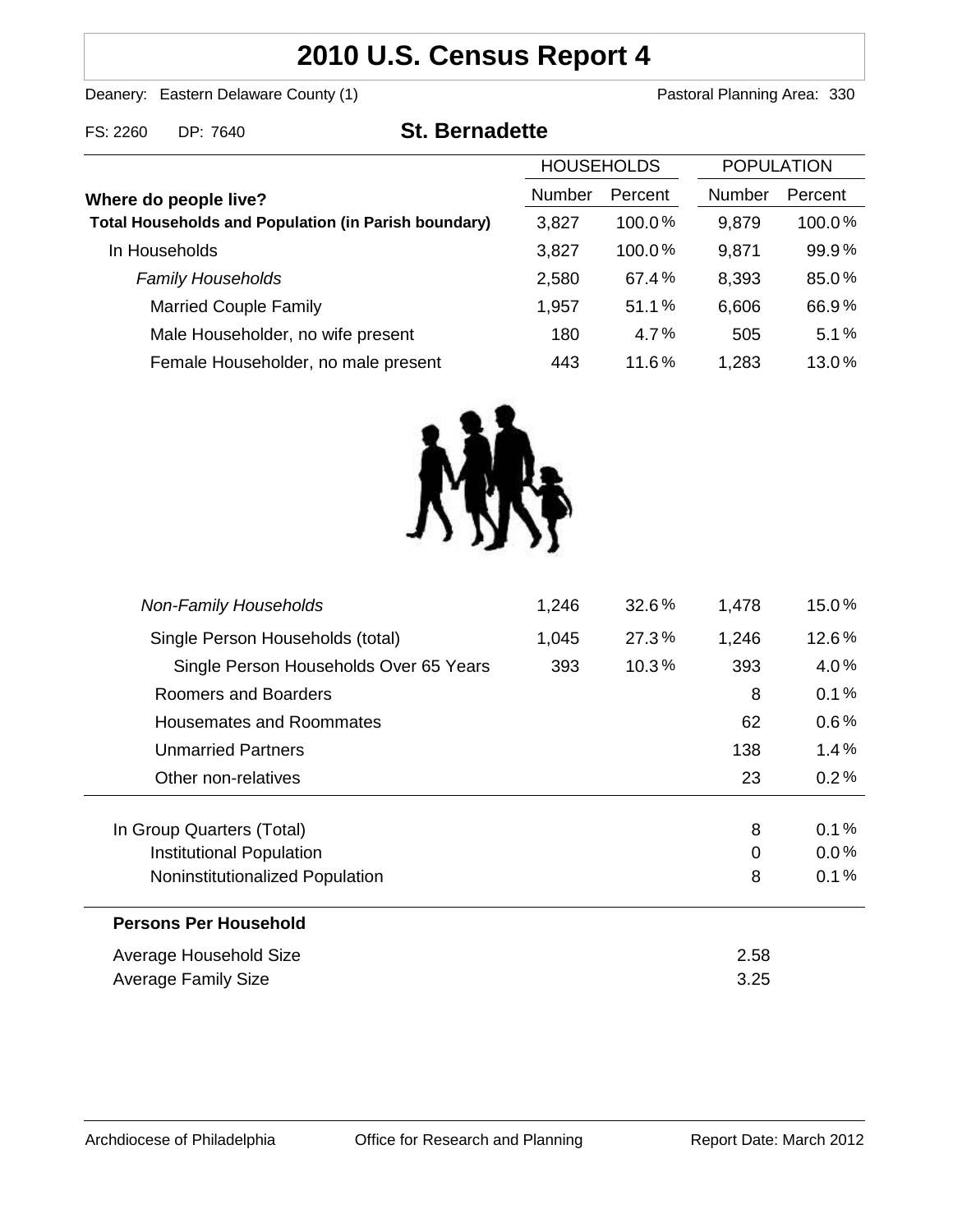# **2010 U.S. Census Report 4**

Deanery: Eastern Delaware County (1) Deanery: Eastern Delaware County (1)

FS: 2260 DP: 7640 **St. Bernadette**

|                                                                                      | <b>HOUSEHOLDS</b> |           | <b>POPULATION</b> |         |
|--------------------------------------------------------------------------------------|-------------------|-----------|-------------------|---------|
| Where do people live?<br><b>Total Households and Population (in Parish boundary)</b> | <b>Number</b>     | Percent   | <b>Number</b>     | Percent |
|                                                                                      | 3,827             | $100.0\%$ | 9,879             | 100.0%  |
| In Households                                                                        | 3,827             | 100.0%    | 9,871             | 99.9%   |
| <b>Family Households</b>                                                             | 2,580             | 67.4%     | 8,393             | 85.0%   |
| <b>Married Couple Family</b>                                                         | 1,957             | 51.1%     | 6,606             | 66.9%   |
| Male Householder, no wife present                                                    | 180               | 4.7%      | 505               | 5.1%    |
| Female Householder, no male present                                                  | 443               | 11.6%     | 1,283             | 13.0%   |



| <b>Non-Family Households</b>           | 1,246 | $32.6\%$ | 1,478    | 15.0%   |
|----------------------------------------|-------|----------|----------|---------|
| Single Person Households (total)       | 1,045 | 27.3%    | 1,246    | 12.6%   |
| Single Person Households Over 65 Years | 393   | 10.3%    | 393      | $4.0\%$ |
| Roomers and Boarders                   |       |          | 8        | 0.1%    |
| Housemates and Roommates               |       |          | 62       | $0.6\%$ |
| <b>Unmarried Partners</b>              |       |          | 138      | $1.4\%$ |
| Other non-relatives                    |       |          | 23       | 0.2%    |
| In Group Quarters (Total)              |       |          | 8        | 0.1%    |
| Institutional Population               |       |          | $\Omega$ | $0.0\%$ |
| Noninstitutionalized Population        |       |          | 8        | 0.1%    |
| <b>Persons Per Household</b>           |       |          |          |         |
| Average Household Size                 |       |          | 2.58     |         |
| Average Family Size                    |       |          | 3.25     |         |
|                                        |       |          |          |         |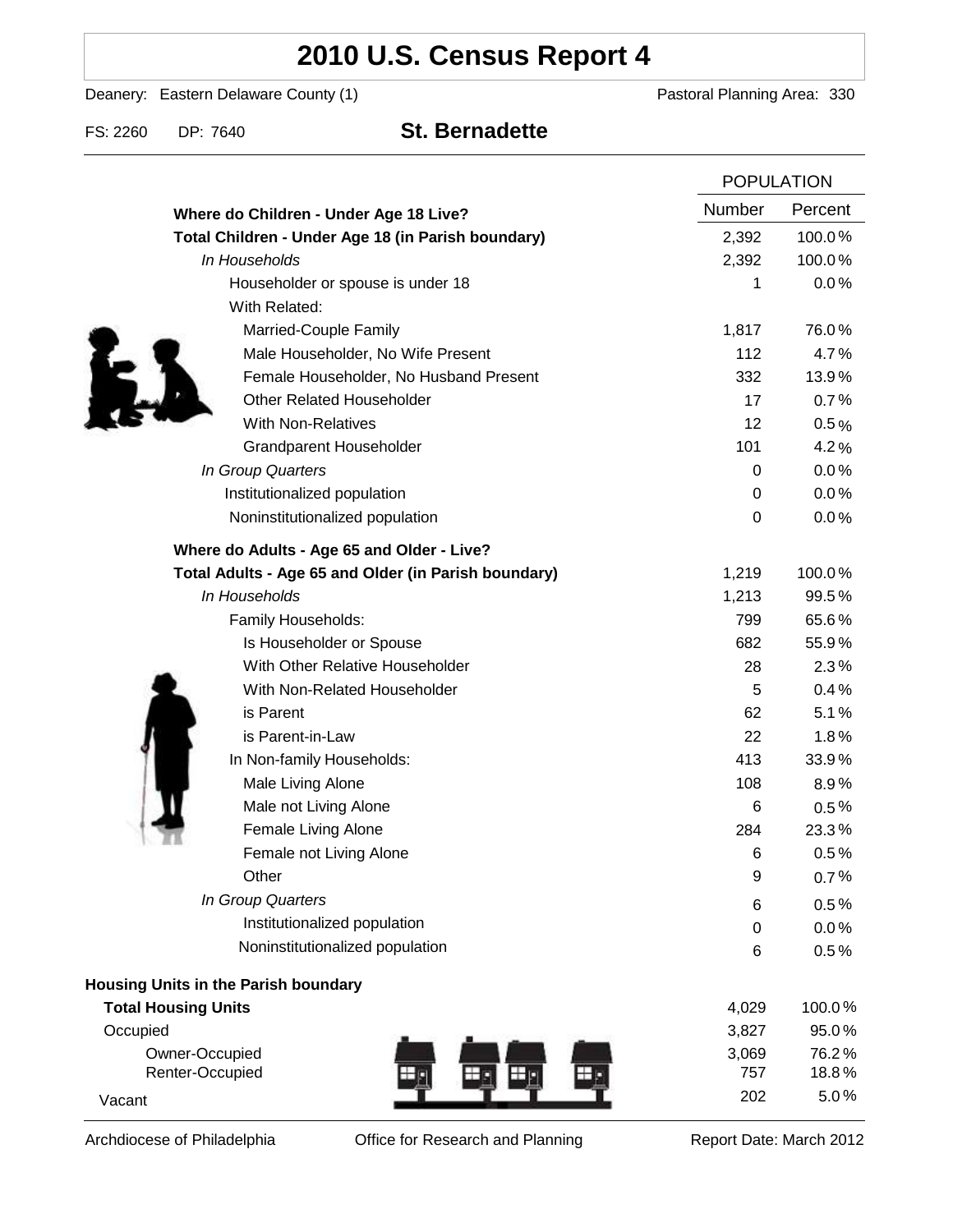# **2010 U.S. Census Report 4**

Deanery: Eastern Delaware County (1) Deanery: Eastern Delaware County (1)

FS: 2260 DP: 7640 **St. Bernadette**

|                                                      |                  | <b>POPULATION</b> |  |
|------------------------------------------------------|------------------|-------------------|--|
| Where do Children - Under Age 18 Live?               | Number           | Percent           |  |
| Total Children - Under Age 18 (in Parish boundary)   | 2,392            | 100.0%            |  |
| In Households                                        | 2,392            | 100.0%            |  |
| Householder or spouse is under 18                    | 1                | 0.0%              |  |
| With Related:                                        |                  |                   |  |
| Married-Couple Family                                | 1,817            | 76.0%             |  |
| Male Householder, No Wife Present                    | 112              | 4.7%              |  |
| Female Householder, No Husband Present               | 332              | 13.9%             |  |
| <b>Other Related Householder</b>                     | 17               | 0.7%              |  |
| <b>With Non-Relatives</b>                            | 12               | 0.5%              |  |
| <b>Grandparent Householder</b>                       | 101              | 4.2%              |  |
| In Group Quarters                                    | 0                | 0.0%              |  |
| Institutionalized population                         | 0                | 0.0%              |  |
| Noninstitutionalized population                      | $\boldsymbol{0}$ | 0.0%              |  |
| Where do Adults - Age 65 and Older - Live?           |                  |                   |  |
| Total Adults - Age 65 and Older (in Parish boundary) | 1,219            | 100.0%            |  |
| In Households                                        | 1,213            | 99.5%             |  |
| Family Households:                                   | 799              | 65.6%             |  |
| Is Householder or Spouse                             | 682              | 55.9%             |  |
| With Other Relative Householder                      | 28               | 2.3%              |  |
| With Non-Related Householder                         | 5                | 0.4%              |  |
| is Parent                                            | 62               | 5.1%              |  |
| is Parent-in-Law                                     | 22               | 1.8%              |  |
| In Non-family Households:                            | 413              | 33.9%             |  |
| Male Living Alone                                    | 108              | $8.9\%$           |  |
| Male not Living Alone                                | 6                | $0.5\%$           |  |
| Female Living Alone                                  | 284              | 23.3%             |  |
| Female not Living Alone                              | 6                | 0.5%              |  |
| Other                                                | 9                | 0.7%              |  |
| In Group Quarters                                    | 6                | 0.5%              |  |
| Institutionalized population                         | 0                | 0.0%              |  |
| Noninstitutionalized population                      | 6                | 0.5%              |  |
| Housing Units in the Parish boundary                 |                  |                   |  |
| <b>Total Housing Units</b>                           | 4,029            | 100.0%            |  |
| Occupied                                             | 3,827            | 95.0%             |  |
| Owner-Occupied                                       | 3,069            | 76.2%             |  |
| Renter-Occupied                                      | 757              | 18.8%             |  |
| Vacant                                               | 202              | 5.0%              |  |

Archdiocese of Philadelphia **Office for Research and Planning** Report Date: March 2012